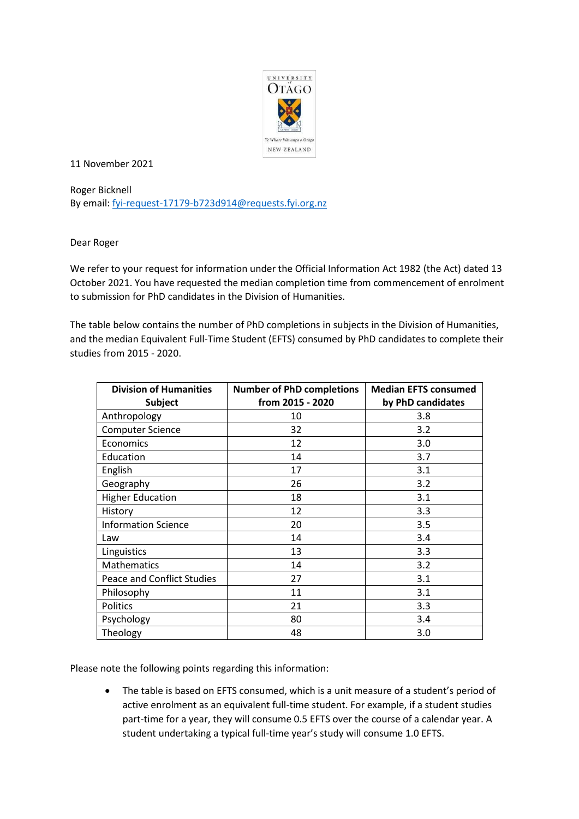

11 November 2021

Roger Bicknell By email: [fyi-request-17179-b723d914@requests.fyi.org.nz](mailto:xxxxxxxxxxxxxxxxxxxxxxxxxx@xxxxxxxx.xxx.xxx.xx)

Dear Roger

We refer to your request for information under the Official Information Act 1982 (the Act) dated 13 October 2021. You have requested the median completion time from commencement of enrolment to submission for PhD candidates in the Division of Humanities.

The table below contains the number of PhD completions in subjects in the Division of Humanities, and the median Equivalent Full-Time Student (EFTS) consumed by PhD candidates to complete their studies from 2015 - 2020.

| <b>Division of Humanities</b>     | <b>Number of PhD completions</b> | <b>Median EFTS consumed</b> |
|-----------------------------------|----------------------------------|-----------------------------|
| <b>Subject</b>                    | from 2015 - 2020                 | by PhD candidates           |
| Anthropology                      | 10                               | 3.8                         |
| <b>Computer Science</b>           | 32                               | 3.2                         |
| Economics                         | 12                               | 3.0                         |
| Education                         | 14                               | 3.7                         |
| English                           | 17                               | 3.1                         |
| Geography                         | 26                               | 3.2                         |
| <b>Higher Education</b>           | 18                               | 3.1                         |
| History                           | 12                               | 3.3                         |
| <b>Information Science</b>        | 20                               | 3.5                         |
| Law                               | 14                               | 3.4                         |
| Linguistics                       | 13                               | 3.3                         |
| <b>Mathematics</b>                | 14                               | 3.2                         |
| <b>Peace and Conflict Studies</b> | 27                               | 3.1                         |
| Philosophy                        | 11                               | 3.1                         |
| <b>Politics</b>                   | 21                               | 3.3                         |
| Psychology                        | 80                               | 3.4                         |
| Theology                          | 48                               | 3.0                         |

Please note the following points regarding this information:

• The table is based on EFTS consumed, which is a unit measure of a student's period of active enrolment as an equivalent full-time student. For example, if a student studies part-time for a year, they will consume 0.5 EFTS over the course of a calendar year. A student undertaking a typical full-time year's study will consume 1.0 EFTS.